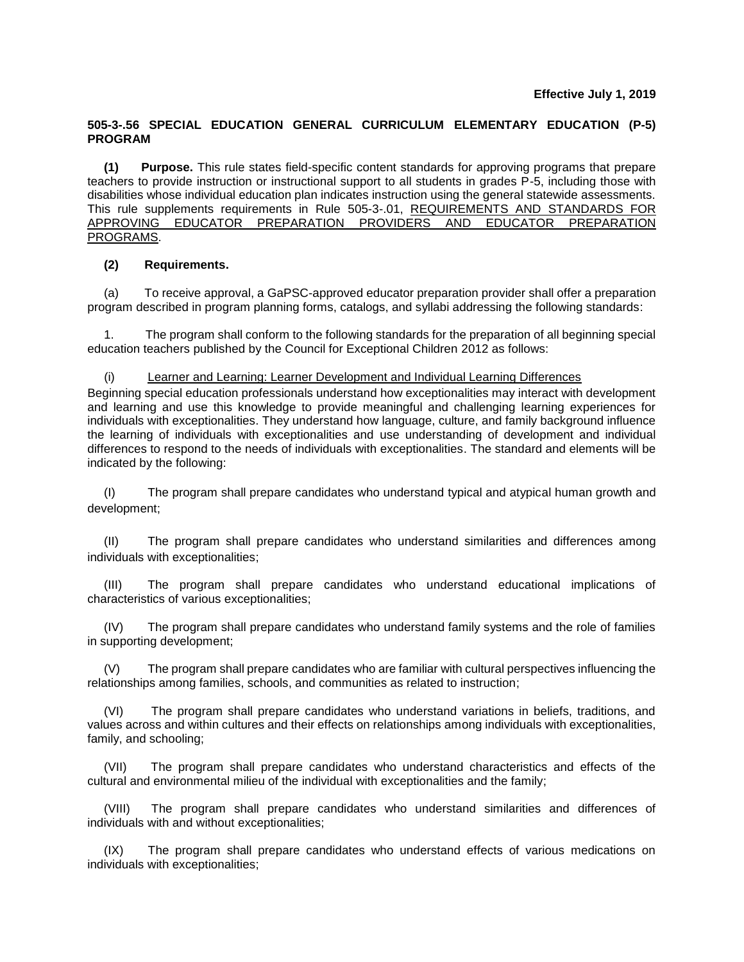## **505-3-.56 SPECIAL EDUCATION GENERAL CURRICULUM ELEMENTARY EDUCATION (P-5) PROGRAM**

**(1) Purpose.** This rule states field-specific content standards for approving programs that prepare teachers to provide instruction or instructional support to all students in grades P-5, including those with disabilities whose individual education plan indicates instruction using the general statewide assessments. This rule supplements requirements in Rule 505-3-.01, REQUIREMENTS AND STANDARDS FOR APPROVING EDUCATOR PREPARATION PROVIDERS AND EDUCATOR PREPARATION PROGRAMS.

# **(2) Requirements.**

(a) To receive approval, a GaPSC-approved educator preparation provider shall offer a preparation program described in program planning forms, catalogs, and syllabi addressing the following standards:

1. The program shall conform to the following standards for the preparation of all beginning special education teachers published by the Council for Exceptional Children 2012 as follows:

(i) Learner and Learning: Learner Development and Individual Learning Differences

Beginning special education professionals understand how exceptionalities may interact with development and learning and use this knowledge to provide meaningful and challenging learning experiences for individuals with exceptionalities. They understand how language, culture, and family background influence the learning of individuals with exceptionalities and use understanding of development and individual differences to respond to the needs of individuals with exceptionalities. The standard and elements will be indicated by the following:

(I) The program shall prepare candidates who understand typical and atypical human growth and development;

(II) The program shall prepare candidates who understand similarities and differences among individuals with exceptionalities;

(III) The program shall prepare candidates who understand educational implications of characteristics of various exceptionalities;

(IV) The program shall prepare candidates who understand family systems and the role of families in supporting development;

(V) The program shall prepare candidates who are familiar with cultural perspectives influencing the relationships among families, schools, and communities as related to instruction;

(VI) The program shall prepare candidates who understand variations in beliefs, traditions, and values across and within cultures and their effects on relationships among individuals with exceptionalities, family, and schooling;

(VII) The program shall prepare candidates who understand characteristics and effects of the cultural and environmental milieu of the individual with exceptionalities and the family;

(VIII) The program shall prepare candidates who understand similarities and differences of individuals with and without exceptionalities;

(IX) The program shall prepare candidates who understand effects of various medications on individuals with exceptionalities;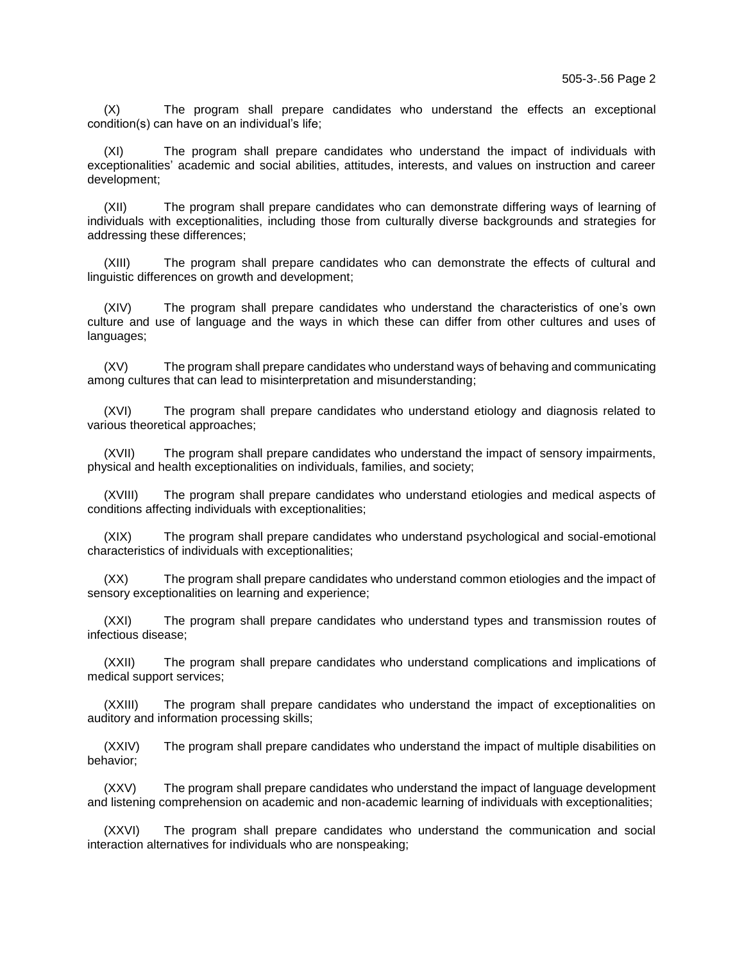(X) The program shall prepare candidates who understand the effects an exceptional condition(s) can have on an individual's life;

(XI) The program shall prepare candidates who understand the impact of individuals with exceptionalities' academic and social abilities, attitudes, interests, and values on instruction and career development;

(XII) The program shall prepare candidates who can demonstrate differing ways of learning of individuals with exceptionalities, including those from culturally diverse backgrounds and strategies for addressing these differences;

(XIII) The program shall prepare candidates who can demonstrate the effects of cultural and linguistic differences on growth and development;

(XIV) The program shall prepare candidates who understand the characteristics of one's own culture and use of language and the ways in which these can differ from other cultures and uses of languages;

(XV) The program shall prepare candidates who understand ways of behaving and communicating among cultures that can lead to misinterpretation and misunderstanding;

(XVI) The program shall prepare candidates who understand etiology and diagnosis related to various theoretical approaches;

(XVII) The program shall prepare candidates who understand the impact of sensory impairments, physical and health exceptionalities on individuals, families, and society;

(XVIII) The program shall prepare candidates who understand etiologies and medical aspects of conditions affecting individuals with exceptionalities;

(XIX) The program shall prepare candidates who understand psychological and social-emotional characteristics of individuals with exceptionalities;

(XX) The program shall prepare candidates who understand common etiologies and the impact of sensory exceptionalities on learning and experience;

(XXI) The program shall prepare candidates who understand types and transmission routes of infectious disease;

(XXII) The program shall prepare candidates who understand complications and implications of medical support services;

(XXIII) The program shall prepare candidates who understand the impact of exceptionalities on auditory and information processing skills;

(XXIV) The program shall prepare candidates who understand the impact of multiple disabilities on behavior;

(XXV) The program shall prepare candidates who understand the impact of language development and listening comprehension on academic and non-academic learning of individuals with exceptionalities;

(XXVI) The program shall prepare candidates who understand the communication and social interaction alternatives for individuals who are nonspeaking;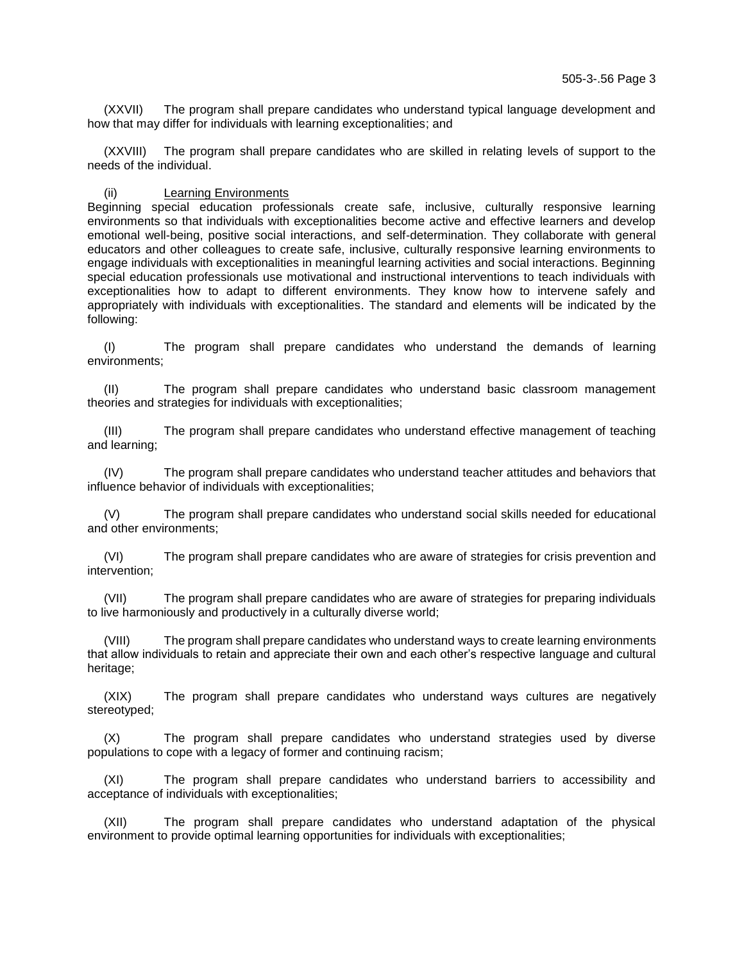(XXVII) The program shall prepare candidates who understand typical language development and how that may differ for individuals with learning exceptionalities; and

(XXVIII) The program shall prepare candidates who are skilled in relating levels of support to the needs of the individual.

#### (ii) Learning Environments

Beginning special education professionals create safe, inclusive, culturally responsive learning environments so that individuals with exceptionalities become active and effective learners and develop emotional well-being, positive social interactions, and self-determination. They collaborate with general educators and other colleagues to create safe, inclusive, culturally responsive learning environments to engage individuals with exceptionalities in meaningful learning activities and social interactions. Beginning special education professionals use motivational and instructional interventions to teach individuals with exceptionalities how to adapt to different environments. They know how to intervene safely and appropriately with individuals with exceptionalities. The standard and elements will be indicated by the following:

(I) The program shall prepare candidates who understand the demands of learning environments;

(II) The program shall prepare candidates who understand basic classroom management theories and strategies for individuals with exceptionalities;

(III) The program shall prepare candidates who understand effective management of teaching and learning;

(IV) The program shall prepare candidates who understand teacher attitudes and behaviors that influence behavior of individuals with exceptionalities;

(V) The program shall prepare candidates who understand social skills needed for educational and other environments;

(VI) The program shall prepare candidates who are aware of strategies for crisis prevention and intervention;

(VII) The program shall prepare candidates who are aware of strategies for preparing individuals to live harmoniously and productively in a culturally diverse world;

(VIII) The program shall prepare candidates who understand ways to create learning environments that allow individuals to retain and appreciate their own and each other's respective language and cultural heritage;

(XIX) The program shall prepare candidates who understand ways cultures are negatively stereotyped;

(X) The program shall prepare candidates who understand strategies used by diverse populations to cope with a legacy of former and continuing racism;

(XI) The program shall prepare candidates who understand barriers to accessibility and acceptance of individuals with exceptionalities;

(XII) The program shall prepare candidates who understand adaptation of the physical environment to provide optimal learning opportunities for individuals with exceptionalities;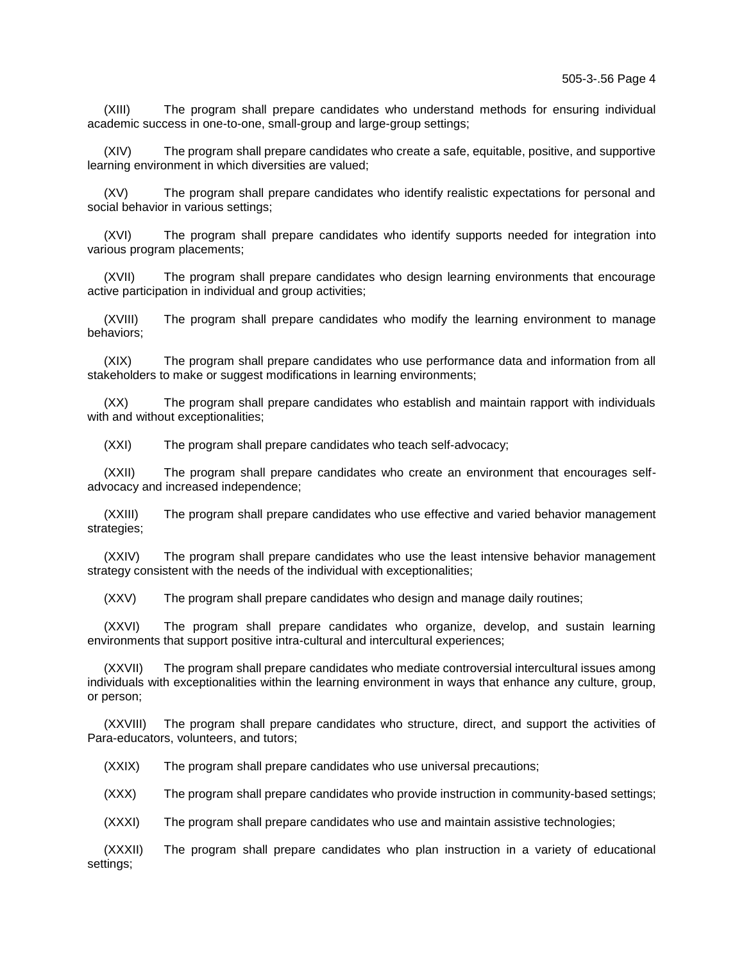(XIII) The program shall prepare candidates who understand methods for ensuring individual academic success in one-to-one, small-group and large-group settings;

(XIV) The program shall prepare candidates who create a safe, equitable, positive, and supportive learning environment in which diversities are valued;

(XV) The program shall prepare candidates who identify realistic expectations for personal and social behavior in various settings;

(XVI) The program shall prepare candidates who identify supports needed for integration into various program placements;

(XVII) The program shall prepare candidates who design learning environments that encourage active participation in individual and group activities;

(XVIII) The program shall prepare candidates who modify the learning environment to manage behaviors;

(XIX) The program shall prepare candidates who use performance data and information from all stakeholders to make or suggest modifications in learning environments;

(XX) The program shall prepare candidates who establish and maintain rapport with individuals with and without exceptionalities:

(XXI) The program shall prepare candidates who teach self-advocacy;

(XXII) The program shall prepare candidates who create an environment that encourages selfadvocacy and increased independence;

(XXIII) The program shall prepare candidates who use effective and varied behavior management strategies;

(XXIV) The program shall prepare candidates who use the least intensive behavior management strategy consistent with the needs of the individual with exceptionalities;

(XXV) The program shall prepare candidates who design and manage daily routines;

(XXVI) The program shall prepare candidates who organize, develop, and sustain learning environments that support positive intra-cultural and intercultural experiences;

(XXVII) The program shall prepare candidates who mediate controversial intercultural issues among individuals with exceptionalities within the learning environment in ways that enhance any culture, group, or person;

(XXVIII) The program shall prepare candidates who structure, direct, and support the activities of Para-educators, volunteers, and tutors;

(XXIX) The program shall prepare candidates who use universal precautions;

(XXX) The program shall prepare candidates who provide instruction in community-based settings;

(XXXI) The program shall prepare candidates who use and maintain assistive technologies;

(XXXII) The program shall prepare candidates who plan instruction in a variety of educational settings;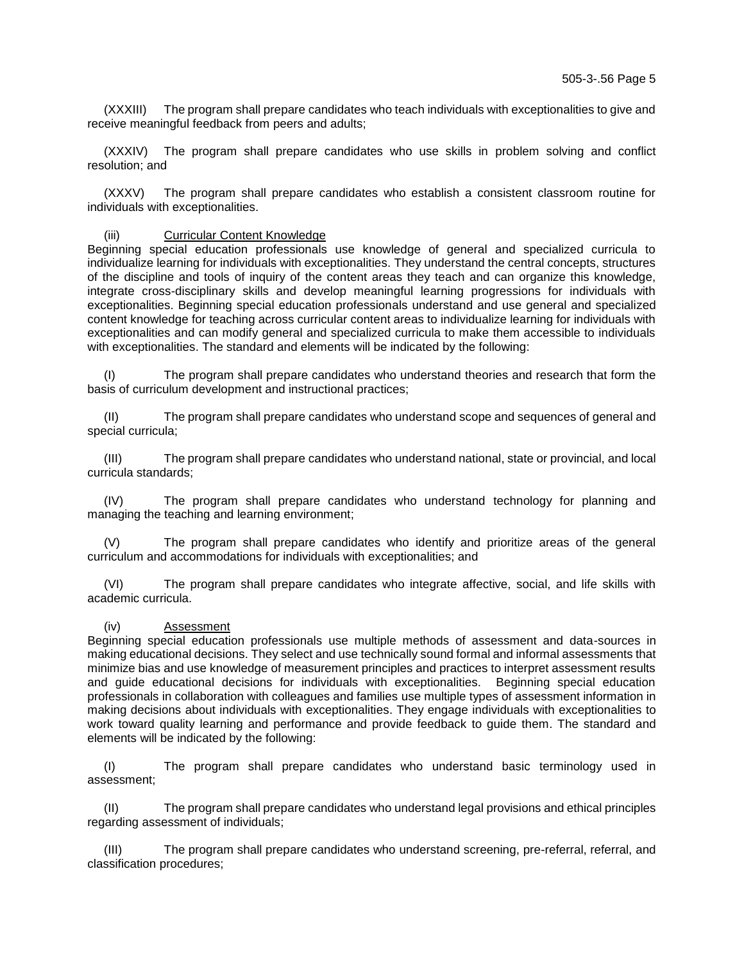(XXXIII) The program shall prepare candidates who teach individuals with exceptionalities to give and receive meaningful feedback from peers and adults;

(XXXIV) The program shall prepare candidates who use skills in problem solving and conflict resolution; and

(XXXV) The program shall prepare candidates who establish a consistent classroom routine for individuals with exceptionalities.

## (iii) Curricular Content Knowledge

Beginning special education professionals use knowledge of general and specialized curricula to individualize learning for individuals with exceptionalities. They understand the central concepts, structures of the discipline and tools of inquiry of the content areas they teach and can organize this knowledge, integrate cross-disciplinary skills and develop meaningful learning progressions for individuals with exceptionalities. Beginning special education professionals understand and use general and specialized content knowledge for teaching across curricular content areas to individualize learning for individuals with exceptionalities and can modify general and specialized curricula to make them accessible to individuals with exceptionalities. The standard and elements will be indicated by the following:

(I) The program shall prepare candidates who understand theories and research that form the basis of curriculum development and instructional practices;

(II) The program shall prepare candidates who understand scope and sequences of general and special curricula;

(III) The program shall prepare candidates who understand national, state or provincial, and local curricula standards;

(IV) The program shall prepare candidates who understand technology for planning and managing the teaching and learning environment;

(V) The program shall prepare candidates who identify and prioritize areas of the general curriculum and accommodations for individuals with exceptionalities; and

(VI) The program shall prepare candidates who integrate affective, social, and life skills with academic curricula.

#### (iv) Assessment

Beginning special education professionals use multiple methods of assessment and data-sources in making educational decisions. They select and use technically sound formal and informal assessments that minimize bias and use knowledge of measurement principles and practices to interpret assessment results and guide educational decisions for individuals with exceptionalities. Beginning special education professionals in collaboration with colleagues and families use multiple types of assessment information in making decisions about individuals with exceptionalities. They engage individuals with exceptionalities to work toward quality learning and performance and provide feedback to guide them. The standard and elements will be indicated by the following:

(I) The program shall prepare candidates who understand basic terminology used in assessment;

(II) The program shall prepare candidates who understand legal provisions and ethical principles regarding assessment of individuals;

(III) The program shall prepare candidates who understand screening, pre-referral, referral, and classification procedures;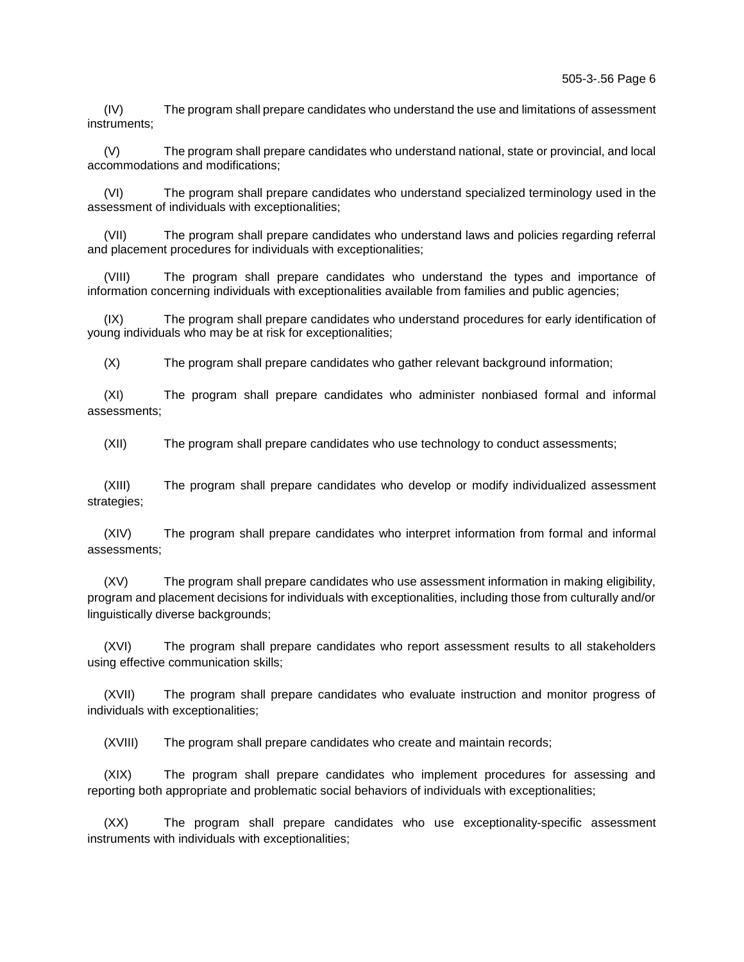(IV) The program shall prepare candidates who understand the use and limitations of assessment instruments;

(V) The program shall prepare candidates who understand national, state or provincial, and local accommodations and modifications;

(VI) The program shall prepare candidates who understand specialized terminology used in the assessment of individuals with exceptionalities;

(VII) The program shall prepare candidates who understand laws and policies regarding referral and placement procedures for individuals with exceptionalities;

(VIII) The program shall prepare candidates who understand the types and importance of information concerning individuals with exceptionalities available from families and public agencies;

(IX) The program shall prepare candidates who understand procedures for early identification of young individuals who may be at risk for exceptionalities;

(X) The program shall prepare candidates who gather relevant background information;

(XI) The program shall prepare candidates who administer nonbiased formal and informal assessments;

(XII) The program shall prepare candidates who use technology to conduct assessments;

(XIII) The program shall prepare candidates who develop or modify individualized assessment strategies;

(XIV) The program shall prepare candidates who interpret information from formal and informal assessments;

(XV) The program shall prepare candidates who use assessment information in making eligibility, program and placement decisions for individuals with exceptionalities, including those from culturally and/or linguistically diverse backgrounds;

(XVI) The program shall prepare candidates who report assessment results to all stakeholders using effective communication skills;

(XVII) The program shall prepare candidates who evaluate instruction and monitor progress of individuals with exceptionalities;

(XVIII) The program shall prepare candidates who create and maintain records;

(XIX) The program shall prepare candidates who implement procedures for assessing and reporting both appropriate and problematic social behaviors of individuals with exceptionalities;

(XX) The program shall prepare candidates who use exceptionality-specific assessment instruments with individuals with exceptionalities;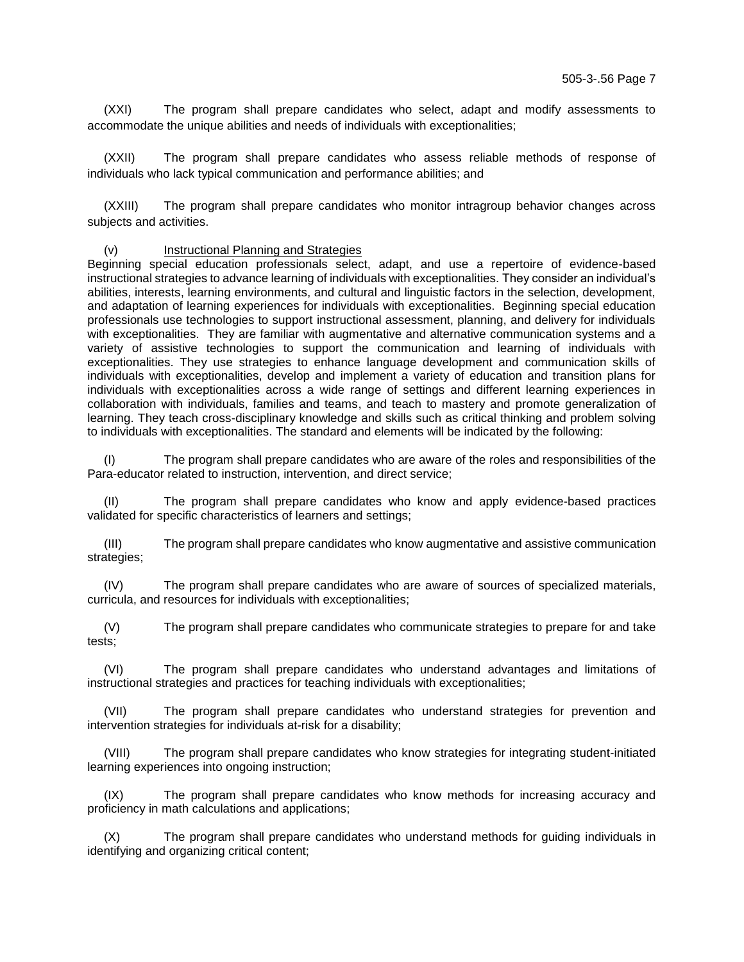(XXI) The program shall prepare candidates who select, adapt and modify assessments to accommodate the unique abilities and needs of individuals with exceptionalities;

(XXII) The program shall prepare candidates who assess reliable methods of response of individuals who lack typical communication and performance abilities; and

(XXIII) The program shall prepare candidates who monitor intragroup behavior changes across subjects and activities.

(v) Instructional Planning and Strategies

Beginning special education professionals select, adapt, and use a repertoire of evidence-based instructional strategies to advance learning of individuals with exceptionalities. They consider an individual's abilities, interests, learning environments, and cultural and linguistic factors in the selection, development, and adaptation of learning experiences for individuals with exceptionalities. Beginning special education professionals use technologies to support instructional assessment, planning, and delivery for individuals with exceptionalities. They are familiar with augmentative and alternative communication systems and a variety of assistive technologies to support the communication and learning of individuals with exceptionalities. They use strategies to enhance language development and communication skills of individuals with exceptionalities, develop and implement a variety of education and transition plans for individuals with exceptionalities across a wide range of settings and different learning experiences in collaboration with individuals, families and teams, and teach to mastery and promote generalization of learning. They teach cross-disciplinary knowledge and skills such as critical thinking and problem solving to individuals with exceptionalities. The standard and elements will be indicated by the following:

(I) The program shall prepare candidates who are aware of the roles and responsibilities of the Para-educator related to instruction, intervention, and direct service;

(II) The program shall prepare candidates who know and apply evidence-based practices validated for specific characteristics of learners and settings;

(III) The program shall prepare candidates who know augmentative and assistive communication strategies;

(IV) The program shall prepare candidates who are aware of sources of specialized materials, curricula, and resources for individuals with exceptionalities;

(V) The program shall prepare candidates who communicate strategies to prepare for and take tests;

(VI) The program shall prepare candidates who understand advantages and limitations of instructional strategies and practices for teaching individuals with exceptionalities;

(VII) The program shall prepare candidates who understand strategies for prevention and intervention strategies for individuals at-risk for a disability;

(VIII) The program shall prepare candidates who know strategies for integrating student-initiated learning experiences into ongoing instruction;

(IX) The program shall prepare candidates who know methods for increasing accuracy and proficiency in math calculations and applications;

(X) The program shall prepare candidates who understand methods for guiding individuals in identifying and organizing critical content;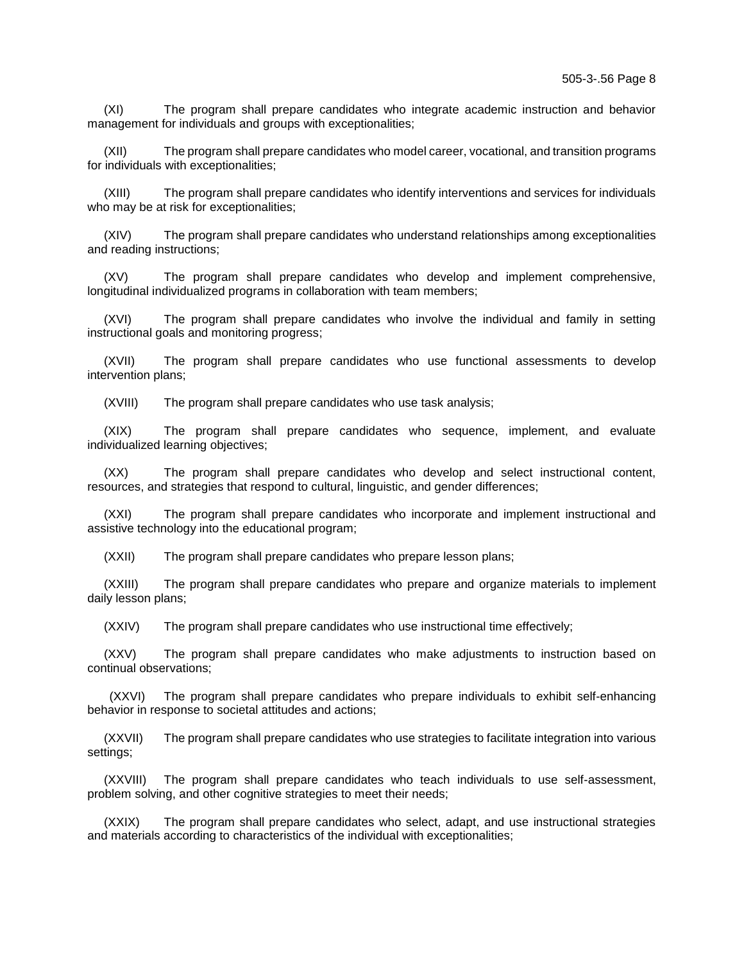(XI) The program shall prepare candidates who integrate academic instruction and behavior management for individuals and groups with exceptionalities;

(XII) The program shall prepare candidates who model career, vocational, and transition programs for individuals with exceptionalities;

(XIII) The program shall prepare candidates who identify interventions and services for individuals who may be at risk for exceptionalities;

(XIV) The program shall prepare candidates who understand relationships among exceptionalities and reading instructions;

(XV) The program shall prepare candidates who develop and implement comprehensive, longitudinal individualized programs in collaboration with team members;

(XVI) The program shall prepare candidates who involve the individual and family in setting instructional goals and monitoring progress;

(XVII) The program shall prepare candidates who use functional assessments to develop intervention plans;

(XVIII) The program shall prepare candidates who use task analysis;

(XIX) The program shall prepare candidates who sequence, implement, and evaluate individualized learning objectives;

(XX) The program shall prepare candidates who develop and select instructional content, resources, and strategies that respond to cultural, linguistic, and gender differences;

(XXI) The program shall prepare candidates who incorporate and implement instructional and assistive technology into the educational program;

(XXII) The program shall prepare candidates who prepare lesson plans;

(XXIII) The program shall prepare candidates who prepare and organize materials to implement daily lesson plans;

(XXIV) The program shall prepare candidates who use instructional time effectively;

(XXV) The program shall prepare candidates who make adjustments to instruction based on continual observations;

(XXVI) The program shall prepare candidates who prepare individuals to exhibit self-enhancing behavior in response to societal attitudes and actions;

(XXVII) The program shall prepare candidates who use strategies to facilitate integration into various settings;

(XXVIII) The program shall prepare candidates who teach individuals to use self-assessment, problem solving, and other cognitive strategies to meet their needs;

(XXIX) The program shall prepare candidates who select, adapt, and use instructional strategies and materials according to characteristics of the individual with exceptionalities;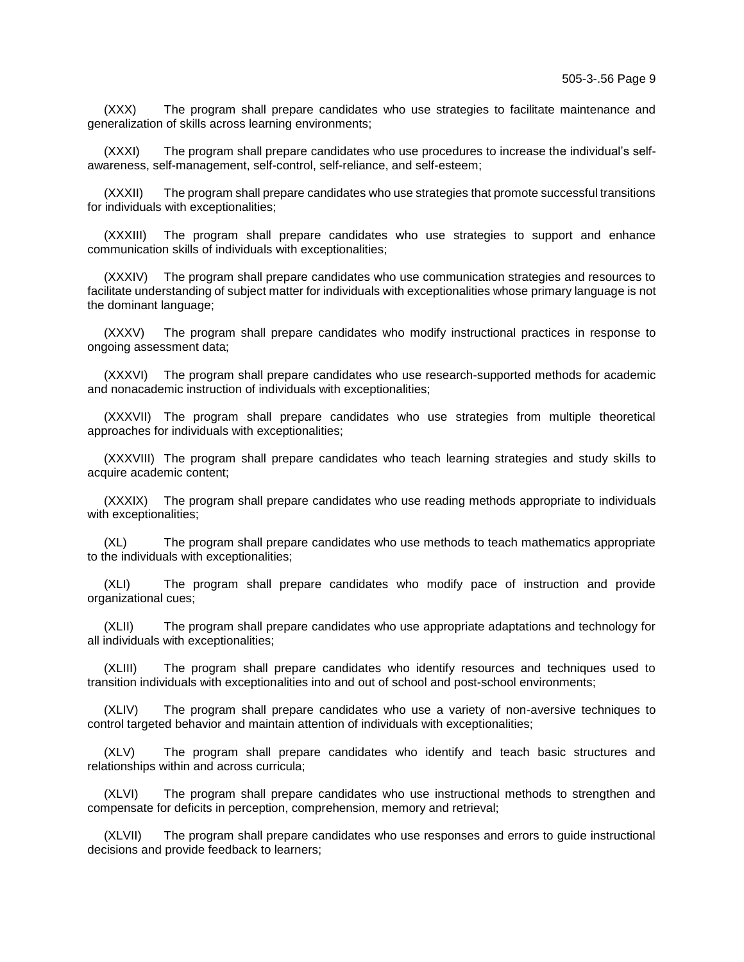(XXX) The program shall prepare candidates who use strategies to facilitate maintenance and generalization of skills across learning environments;

(XXXI) The program shall prepare candidates who use procedures to increase the individual's selfawareness, self-management, self-control, self-reliance, and self-esteem;

(XXXII) The program shall prepare candidates who use strategies that promote successful transitions for individuals with exceptionalities;

(XXXIII) The program shall prepare candidates who use strategies to support and enhance communication skills of individuals with exceptionalities;

(XXXIV) The program shall prepare candidates who use communication strategies and resources to facilitate understanding of subject matter for individuals with exceptionalities whose primary language is not the dominant language;

(XXXV) The program shall prepare candidates who modify instructional practices in response to ongoing assessment data;

(XXXVI) The program shall prepare candidates who use research-supported methods for academic and nonacademic instruction of individuals with exceptionalities;

(XXXVII) The program shall prepare candidates who use strategies from multiple theoretical approaches for individuals with exceptionalities;

(XXXVIII) The program shall prepare candidates who teach learning strategies and study skills to acquire academic content;

(XXXIX) The program shall prepare candidates who use reading methods appropriate to individuals with exceptionalities;

(XL) The program shall prepare candidates who use methods to teach mathematics appropriate to the individuals with exceptionalities;

(XLI) The program shall prepare candidates who modify pace of instruction and provide organizational cues;

(XLII) The program shall prepare candidates who use appropriate adaptations and technology for all individuals with exceptionalities;

(XLIII) The program shall prepare candidates who identify resources and techniques used to transition individuals with exceptionalities into and out of school and post-school environments;

(XLIV) The program shall prepare candidates who use a variety of non-aversive techniques to control targeted behavior and maintain attention of individuals with exceptionalities;

(XLV) The program shall prepare candidates who identify and teach basic structures and relationships within and across curricula;

(XLVI) The program shall prepare candidates who use instructional methods to strengthen and compensate for deficits in perception, comprehension, memory and retrieval;

(XLVII) The program shall prepare candidates who use responses and errors to guide instructional decisions and provide feedback to learners;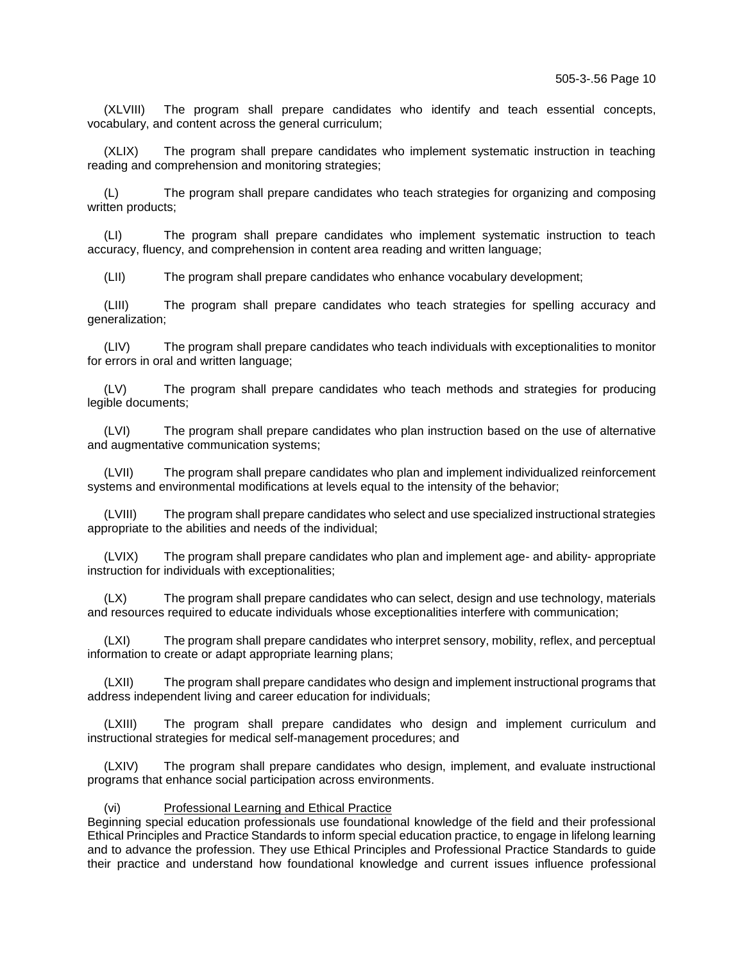(XLVIII) The program shall prepare candidates who identify and teach essential concepts, vocabulary, and content across the general curriculum;

(XLIX) The program shall prepare candidates who implement systematic instruction in teaching reading and comprehension and monitoring strategies;

(L) The program shall prepare candidates who teach strategies for organizing and composing written products;

(LI) The program shall prepare candidates who implement systematic instruction to teach accuracy, fluency, and comprehension in content area reading and written language;

(LII) The program shall prepare candidates who enhance vocabulary development;

(LIII) The program shall prepare candidates who teach strategies for spelling accuracy and generalization;

(LIV) The program shall prepare candidates who teach individuals with exceptionalities to monitor for errors in oral and written language;

(LV) The program shall prepare candidates who teach methods and strategies for producing legible documents;

(LVI) The program shall prepare candidates who plan instruction based on the use of alternative and augmentative communication systems;

(LVII) The program shall prepare candidates who plan and implement individualized reinforcement systems and environmental modifications at levels equal to the intensity of the behavior;

(LVIII) The program shall prepare candidates who select and use specialized instructional strategies appropriate to the abilities and needs of the individual;

(LVIX) The program shall prepare candidates who plan and implement age- and ability- appropriate instruction for individuals with exceptionalities;

(LX) The program shall prepare candidates who can select, design and use technology, materials and resources required to educate individuals whose exceptionalities interfere with communication;

(LXI) The program shall prepare candidates who interpret sensory, mobility, reflex, and perceptual information to create or adapt appropriate learning plans;

(LXII) The program shall prepare candidates who design and implement instructional programs that address independent living and career education for individuals;

(LXIII) The program shall prepare candidates who design and implement curriculum and instructional strategies for medical self-management procedures; and

(LXIV) The program shall prepare candidates who design, implement, and evaluate instructional programs that enhance social participation across environments.

## (vi) Professional Learning and Ethical Practice

Beginning special education professionals use foundational knowledge of the field and their professional Ethical Principles and Practice Standards to inform special education practice, to engage in lifelong learning and to advance the profession. They use Ethical Principles and Professional Practice Standards to guide their practice and understand how foundational knowledge and current issues influence professional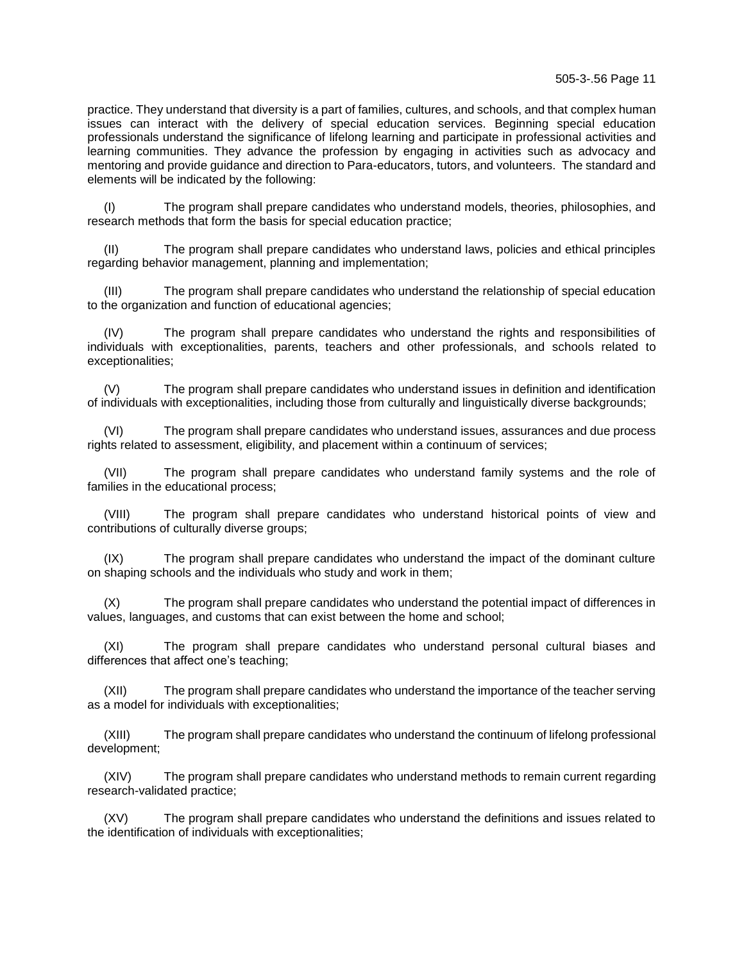practice. They understand that diversity is a part of families, cultures, and schools, and that complex human issues can interact with the delivery of special education services. Beginning special education professionals understand the significance of lifelong learning and participate in professional activities and learning communities. They advance the profession by engaging in activities such as advocacy and mentoring and provide guidance and direction to Para-educators, tutors, and volunteers. The standard and elements will be indicated by the following:

(I) The program shall prepare candidates who understand models, theories, philosophies, and research methods that form the basis for special education practice;

(II) The program shall prepare candidates who understand laws, policies and ethical principles regarding behavior management, planning and implementation;

(III) The program shall prepare candidates who understand the relationship of special education to the organization and function of educational agencies;

(IV) The program shall prepare candidates who understand the rights and responsibilities of individuals with exceptionalities, parents, teachers and other professionals, and schools related to exceptionalities;

(V) The program shall prepare candidates who understand issues in definition and identification of individuals with exceptionalities, including those from culturally and linguistically diverse backgrounds;

(VI) The program shall prepare candidates who understand issues, assurances and due process rights related to assessment, eligibility, and placement within a continuum of services;

(VII) The program shall prepare candidates who understand family systems and the role of families in the educational process;

(VIII) The program shall prepare candidates who understand historical points of view and contributions of culturally diverse groups;

(IX) The program shall prepare candidates who understand the impact of the dominant culture on shaping schools and the individuals who study and work in them;

(X) The program shall prepare candidates who understand the potential impact of differences in values, languages, and customs that can exist between the home and school;

(XI) The program shall prepare candidates who understand personal cultural biases and differences that affect one's teaching;

(XII) The program shall prepare candidates who understand the importance of the teacher serving as a model for individuals with exceptionalities;

(XIII) The program shall prepare candidates who understand the continuum of lifelong professional development;

(XIV) The program shall prepare candidates who understand methods to remain current regarding research-validated practice;

(XV) The program shall prepare candidates who understand the definitions and issues related to the identification of individuals with exceptionalities;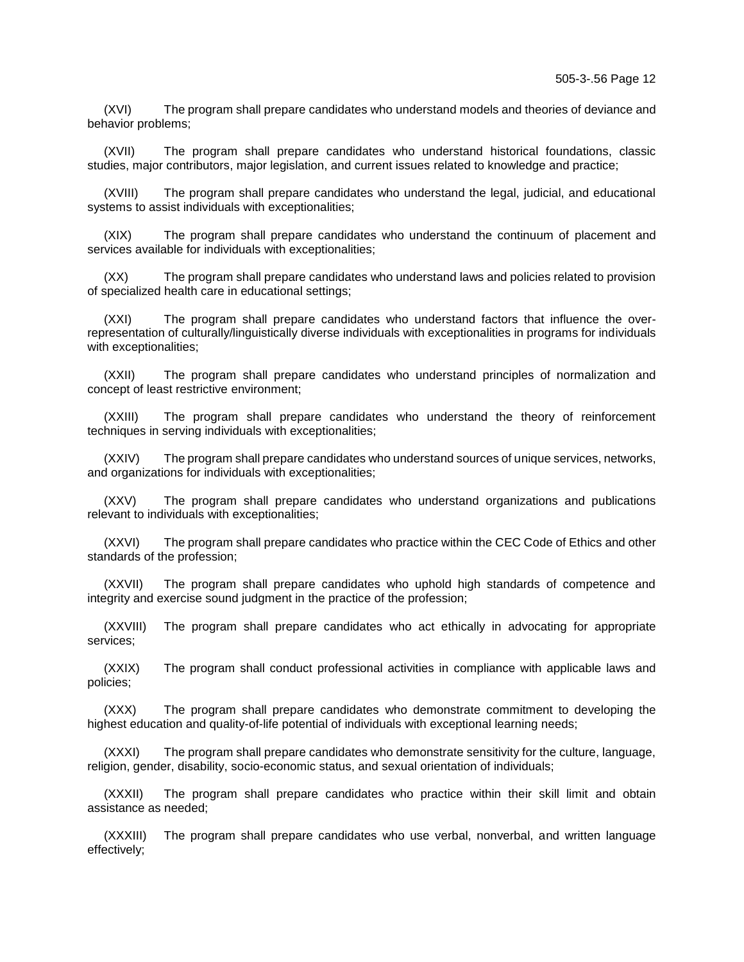(XVI) The program shall prepare candidates who understand models and theories of deviance and behavior problems;

(XVII) The program shall prepare candidates who understand historical foundations, classic studies, major contributors, major legislation, and current issues related to knowledge and practice;

(XVIII) The program shall prepare candidates who understand the legal, judicial, and educational systems to assist individuals with exceptionalities;

(XIX) The program shall prepare candidates who understand the continuum of placement and services available for individuals with exceptionalities;

(XX) The program shall prepare candidates who understand laws and policies related to provision of specialized health care in educational settings;

(XXI) The program shall prepare candidates who understand factors that influence the overrepresentation of culturally/linguistically diverse individuals with exceptionalities in programs for individuals with exceptionalities;

(XXII) The program shall prepare candidates who understand principles of normalization and concept of least restrictive environment;

(XXIII) The program shall prepare candidates who understand the theory of reinforcement techniques in serving individuals with exceptionalities;

(XXIV) The program shall prepare candidates who understand sources of unique services, networks, and organizations for individuals with exceptionalities;

(XXV) The program shall prepare candidates who understand organizations and publications relevant to individuals with exceptionalities;

(XXVI) The program shall prepare candidates who practice within the CEC Code of Ethics and other standards of the profession;

(XXVII) The program shall prepare candidates who uphold high standards of competence and integrity and exercise sound judgment in the practice of the profession;

(XXVIII) The program shall prepare candidates who act ethically in advocating for appropriate services;

(XXIX) The program shall conduct professional activities in compliance with applicable laws and policies;

(XXX) The program shall prepare candidates who demonstrate commitment to developing the highest education and quality-of-life potential of individuals with exceptional learning needs;

(XXXI) The program shall prepare candidates who demonstrate sensitivity for the culture, language, religion, gender, disability, socio-economic status, and sexual orientation of individuals;

(XXXII) The program shall prepare candidates who practice within their skill limit and obtain assistance as needed;

(XXXIII) The program shall prepare candidates who use verbal, nonverbal, and written language effectively;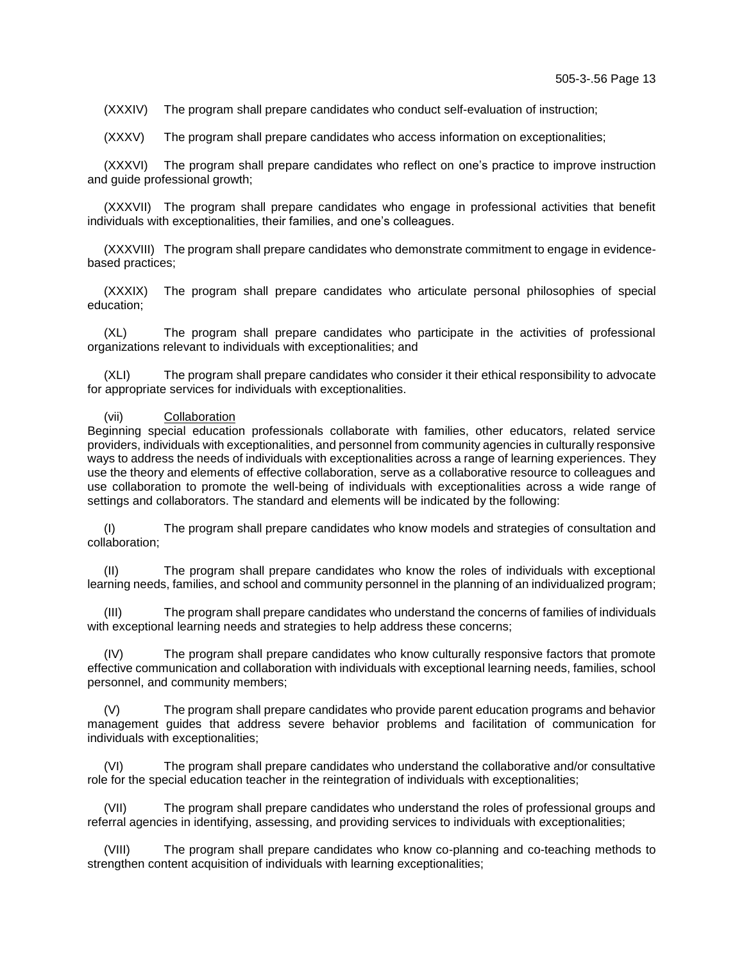(XXXIV) The program shall prepare candidates who conduct self-evaluation of instruction;

(XXXV) The program shall prepare candidates who access information on exceptionalities;

(XXXVI) The program shall prepare candidates who reflect on one's practice to improve instruction and guide professional growth;

(XXXVII) The program shall prepare candidates who engage in professional activities that benefit individuals with exceptionalities, their families, and one's colleagues.

(XXXVIII) The program shall prepare candidates who demonstrate commitment to engage in evidencebased practices;

(XXXIX) The program shall prepare candidates who articulate personal philosophies of special education;

(XL) The program shall prepare candidates who participate in the activities of professional organizations relevant to individuals with exceptionalities; and

(XLI) The program shall prepare candidates who consider it their ethical responsibility to advocate for appropriate services for individuals with exceptionalities.

#### (vii) Collaboration

Beginning special education professionals collaborate with families, other educators, related service providers, individuals with exceptionalities, and personnel from community agencies in culturally responsive ways to address the needs of individuals with exceptionalities across a range of learning experiences. They use the theory and elements of effective collaboration, serve as a collaborative resource to colleagues and use collaboration to promote the well-being of individuals with exceptionalities across a wide range of settings and collaborators. The standard and elements will be indicated by the following:

(I) The program shall prepare candidates who know models and strategies of consultation and collaboration;

(II) The program shall prepare candidates who know the roles of individuals with exceptional learning needs, families, and school and community personnel in the planning of an individualized program;

(III) The program shall prepare candidates who understand the concerns of families of individuals with exceptional learning needs and strategies to help address these concerns;

(IV) The program shall prepare candidates who know culturally responsive factors that promote effective communication and collaboration with individuals with exceptional learning needs, families, school personnel, and community members;

(V) The program shall prepare candidates who provide parent education programs and behavior management guides that address severe behavior problems and facilitation of communication for individuals with exceptionalities;

(VI) The program shall prepare candidates who understand the collaborative and/or consultative role for the special education teacher in the reintegration of individuals with exceptionalities;

(VII) The program shall prepare candidates who understand the roles of professional groups and referral agencies in identifying, assessing, and providing services to individuals with exceptionalities;

(VIII) The program shall prepare candidates who know co-planning and co-teaching methods to strengthen content acquisition of individuals with learning exceptionalities;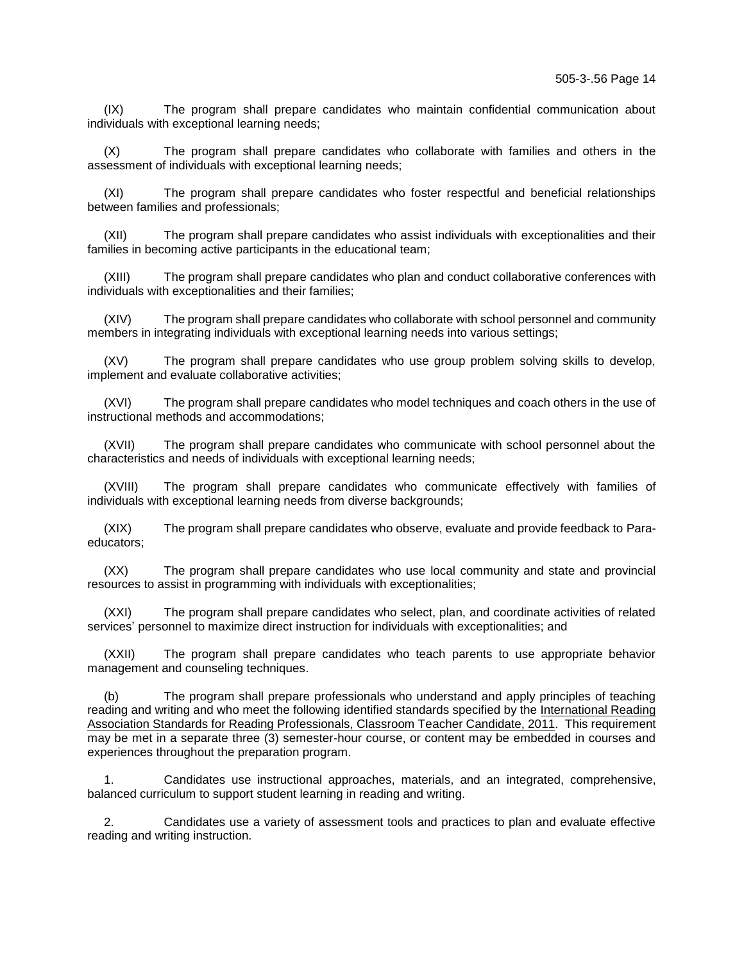(IX) The program shall prepare candidates who maintain confidential communication about individuals with exceptional learning needs;

(X) The program shall prepare candidates who collaborate with families and others in the assessment of individuals with exceptional learning needs;

(XI) The program shall prepare candidates who foster respectful and beneficial relationships between families and professionals;

(XII) The program shall prepare candidates who assist individuals with exceptionalities and their families in becoming active participants in the educational team;

(XIII) The program shall prepare candidates who plan and conduct collaborative conferences with individuals with exceptionalities and their families;

(XIV) The program shall prepare candidates who collaborate with school personnel and community members in integrating individuals with exceptional learning needs into various settings;

(XV) The program shall prepare candidates who use group problem solving skills to develop, implement and evaluate collaborative activities;

(XVI) The program shall prepare candidates who model techniques and coach others in the use of instructional methods and accommodations;

(XVII) The program shall prepare candidates who communicate with school personnel about the characteristics and needs of individuals with exceptional learning needs;

(XVIII) The program shall prepare candidates who communicate effectively with families of individuals with exceptional learning needs from diverse backgrounds;

(XIX) The program shall prepare candidates who observe, evaluate and provide feedback to Paraeducators;

(XX) The program shall prepare candidates who use local community and state and provincial resources to assist in programming with individuals with exceptionalities;

(XXI) The program shall prepare candidates who select, plan, and coordinate activities of related services' personnel to maximize direct instruction for individuals with exceptionalities; and

(XXII) The program shall prepare candidates who teach parents to use appropriate behavior management and counseling techniques.

(b) The program shall prepare professionals who understand and apply principles of teaching reading and writing and who meet the following identified standards specified by the International Reading Association Standards for Reading Professionals, Classroom Teacher Candidate, 2011. This requirement may be met in a separate three (3) semester-hour course, or content may be embedded in courses and experiences throughout the preparation program.

1. Candidates use instructional approaches, materials, and an integrated, comprehensive, balanced curriculum to support student learning in reading and writing.

2. Candidates use a variety of assessment tools and practices to plan and evaluate effective reading and writing instruction.